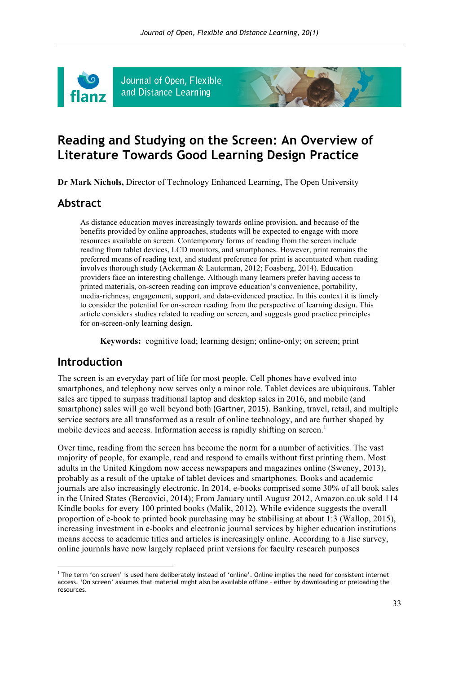

Journal of Open, Flexible and Distance Learning

# **Reading and Studying on the Screen: An Overview of Literature Towards Good Learning Design Practice**

**Dr Mark Nichols,** Director of Technology Enhanced Learning, The Open University

### **Abstract**

As distance education moves increasingly towards online provision, and because of the benefits provided by online approaches, students will be expected to engage with more resources available on screen. Contemporary forms of reading from the screen include reading from tablet devices, LCD monitors, and smartphones. However, print remains the preferred means of reading text, and student preference for print is accentuated when reading involves thorough study (Ackerman & Lauterman, 2012; Foasberg, 2014). Education providers face an interesting challenge. Although many learners prefer having access to printed materials, on-screen reading can improve education's convenience, portability, media-richness, engagement, support, and data-evidenced practice. In this context it is timely to consider the potential for on-screen reading from the perspective of learning design. This article considers studies related to reading on screen, and suggests good practice principles for on-screen-only learning design.

**Keywords:** cognitive load; learning design; online-only; on screen; print

### **Introduction**

l

The screen is an everyday part of life for most people. Cell phones have evolved into smartphones, and telephony now serves only a minor role. Tablet devices are ubiquitous. Tablet sales are tipped to surpass traditional laptop and desktop sales in 2016, and mobile (and smartphone) sales will go well beyond both (Gartner, 2015). Banking, travel, retail, and multiple service sectors are all transformed as a result of online technology, and are further shaped by mobile devices and access. Information access is rapidly shifting on screen.<sup>1</sup>

Over time, reading from the screen has become the norm for a number of activities. The vast majority of people, for example, read and respond to emails without first printing them. Most adults in the United Kingdom now access newspapers and magazines online (Sweney, 2013), probably as a result of the uptake of tablet devices and smartphones. Books and academic journals are also increasingly electronic. In 2014, e-books comprised some 30% of all book sales in the United States (Bercovici, 2014); From January until August 2012, Amazon.co.uk sold 114 Kindle books for every 100 printed books (Malik, 2012). While evidence suggests the overall proportion of e-book to printed book purchasing may be stabilising at about 1:3 (Wallop, 2015), increasing investment in e-books and electronic journal services by higher education institutions means access to academic titles and articles is increasingly online. According to a Jisc survey, online journals have now largely replaced print versions for faculty research purposes

 $1$  The term 'on screen' is used here deliberately instead of 'online'. Online implies the need for consistent internet access. 'On screen' assumes that material might also be available offline – either by downloading or preloading the resources.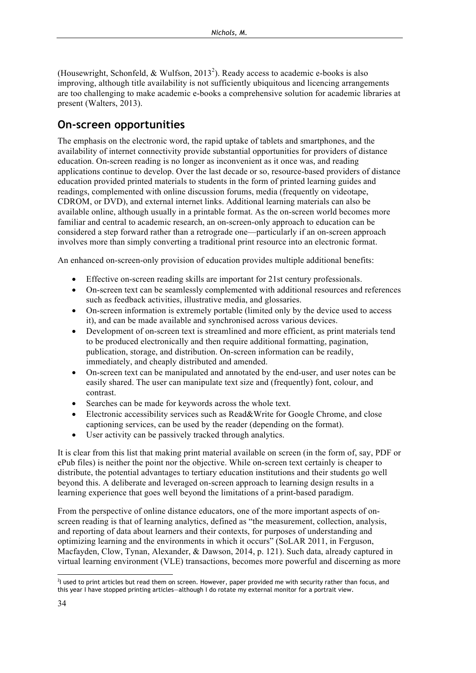(Housewright, Schonfeld, & Wulfson, 2013<sup>2</sup>). Ready access to academic e-books is also improving, although title availability is not sufficiently ubiquitous and licencing arrangements are too challenging to make academic e-books a comprehensive solution for academic libraries at present (Walters, 2013).

## **On-screen opportunities**

The emphasis on the electronic word, the rapid uptake of tablets and smartphones, and the availability of internet connectivity provide substantial opportunities for providers of distance education. On-screen reading is no longer as inconvenient as it once was, and reading applications continue to develop. Over the last decade or so, resource-based providers of distance education provided printed materials to students in the form of printed learning guides and readings, complemented with online discussion forums, media (frequently on videotape, CDROM, or DVD), and external internet links. Additional learning materials can also be available online, although usually in a printable format. As the on-screen world becomes more familiar and central to academic research, an on-screen-only approach to education can be considered a step forward rather than a retrograde one—particularly if an on-screen approach involves more than simply converting a traditional print resource into an electronic format.

An enhanced on-screen-only provision of education provides multiple additional benefits:

- Effective on-screen reading skills are important for 21st century professionals.
- On-screen text can be seamlessly complemented with additional resources and references such as feedback activities, illustrative media, and glossaries.
- On-screen information is extremely portable (limited only by the device used to access it), and can be made available and synchronised across various devices.
- Development of on-screen text is streamlined and more efficient, as print materials tend to be produced electronically and then require additional formatting, pagination, publication, storage, and distribution. On-screen information can be readily, immediately, and cheaply distributed and amended.
- On-screen text can be manipulated and annotated by the end-user, and user notes can be easily shared. The user can manipulate text size and (frequently) font, colour, and contrast.
- Searches can be made for keywords across the whole text.
- Electronic accessibility services such as Read&Write for Google Chrome, and close captioning services, can be used by the reader (depending on the format).
- User activity can be passively tracked through analytics.

It is clear from this list that making print material available on screen (in the form of, say, PDF or ePub files) is neither the point nor the objective. While on-screen text certainly is cheaper to distribute, the potential advantages to tertiary education institutions and their students go well beyond this. A deliberate and leveraged on-screen approach to learning design results in a learning experience that goes well beyond the limitations of a print-based paradigm.

From the perspective of online distance educators, one of the more important aspects of onscreen reading is that of learning analytics, defined as "the measurement, collection, analysis, and reporting of data about learners and their contexts, for purposes of understanding and optimizing learning and the environments in which it occurs" (SoLAR 2011, in Ferguson, Macfayden, Clow, Tynan, Alexander, & Dawson, 2014, p. 121). Such data, already captured in virtual learning environment (VLE) transactions, becomes more powerful and discerning as more

2 I used to print articles but read them on screen. However, paper provided me with security rather than focus, and this year I have stopped printing articles—although I do rotate my external monitor for a portrait view.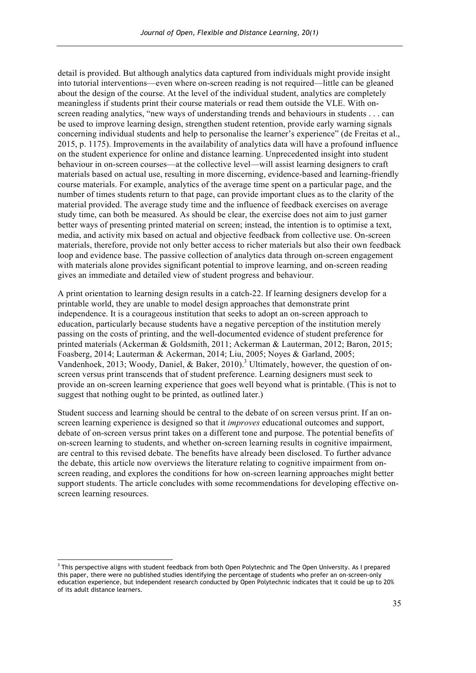detail is provided. But although analytics data captured from individuals might provide insight into tutorial interventions—even where on-screen reading is not required—little can be gleaned about the design of the course. At the level of the individual student, analytics are completely meaningless if students print their course materials or read them outside the VLE. With onscreen reading analytics, "new ways of understanding trends and behaviours in students . . . can be used to improve learning design, strengthen student retention, provide early warning signals concerning individual students and help to personalise the learner's experience" (de Freitas et al., 2015, p. 1175). Improvements in the availability of analytics data will have a profound influence on the student experience for online and distance learning. Unprecedented insight into student behaviour in on-screen courses—at the collective level—will assist learning designers to craft materials based on actual use, resulting in more discerning, evidence-based and learning-friendly course materials. For example, analytics of the average time spent on a particular page, and the number of times students return to that page, can provide important clues as to the clarity of the material provided. The average study time and the influence of feedback exercises on average study time, can both be measured. As should be clear, the exercise does not aim to just garner better ways of presenting printed material on screen; instead, the intention is to optimise a text, media, and activity mix based on actual and objective feedback from collective use. On-screen materials, therefore, provide not only better access to richer materials but also their own feedback loop and evidence base. The passive collection of analytics data through on-screen engagement with materials alone provides significant potential to improve learning, and on-screen reading gives an immediate and detailed view of student progress and behaviour.

A print orientation to learning design results in a catch-22. If learning designers develop for a printable world, they are unable to model design approaches that demonstrate print independence. It is a courageous institution that seeks to adopt an on-screen approach to education, particularly because students have a negative perception of the institution merely passing on the costs of printing, and the well-documented evidence of student preference for printed materials (Ackerman & Goldsmith, 2011; Ackerman & Lauterman, 2012; Baron, 2015; Foasberg, 2014; Lauterman & Ackerman, 2014; Liu, 2005; Noyes & Garland, 2005; Vandenhoek, 2013; Woody, Daniel, & Baker, 2010).<sup>3</sup> Ultimately, however, the question of onscreen versus print transcends that of student preference. Learning designers must seek to provide an on-screen learning experience that goes well beyond what is printable. (This is not to suggest that nothing ought to be printed, as outlined later.)

Student success and learning should be central to the debate of on screen versus print. If an onscreen learning experience is designed so that it *improves* educational outcomes and support, debate of on-screen versus print takes on a different tone and purpose. The potential benefits of on-screen learning to students, and whether on-screen learning results in cognitive impairment, are central to this revised debate. The benefits have already been disclosed. To further advance the debate, this article now overviews the literature relating to cognitive impairment from onscreen reading, and explores the conditions for how on-screen learning approaches might better support students. The article concludes with some recommendations for developing effective onscreen learning resources.

 $\overline{a}$ 

<sup>&</sup>lt;sup>3</sup> This perspective aligns with student feedback from both Open Polytechnic and The Open University. As I prepared this paper, there were no published studies identifying the percentage of students who prefer an on-screen-only education experience, but independent research conducted by Open Polytechnic indicates that it could be up to 20% of its adult distance learners.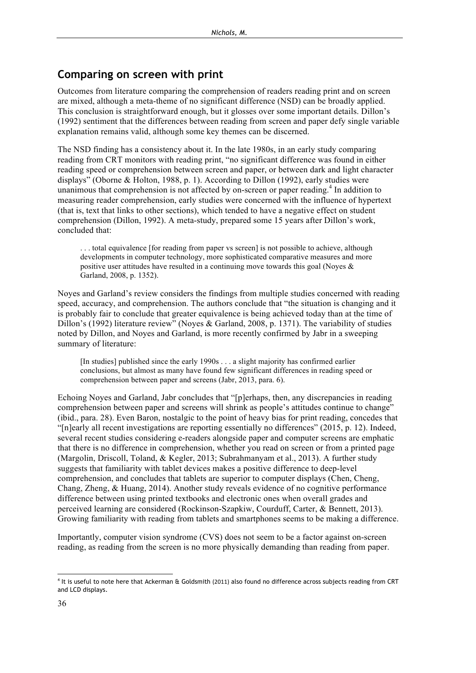## **Comparing on screen with print**

Outcomes from literature comparing the comprehension of readers reading print and on screen are mixed, although a meta-theme of no significant difference (NSD) can be broadly applied. This conclusion is straightforward enough, but it glosses over some important details. Dillon's (1992) sentiment that the differences between reading from screen and paper defy single variable explanation remains valid, although some key themes can be discerned.

The NSD finding has a consistency about it. In the late 1980s, in an early study comparing reading from CRT monitors with reading print, "no significant difference was found in either reading speed or comprehension between screen and paper, or between dark and light character displays" (Oborne & Holton, 1988, p. 1). According to Dillon (1992), early studies were unanimous that comprehension is not affected by on-screen or paper reading.<sup>4</sup> In addition to measuring reader comprehension, early studies were concerned with the influence of hypertext (that is, text that links to other sections), which tended to have a negative effect on student comprehension (Dillon, 1992). A meta-study, prepared some 15 years after Dillon's work, concluded that:

. . . total equivalence [for reading from paper vs screen] is not possible to achieve, although developments in computer technology, more sophisticated comparative measures and more positive user attitudes have resulted in a continuing move towards this goal (Noyes & Garland, 2008, p. 1352).

Noyes and Garland's review considers the findings from multiple studies concerned with reading speed, accuracy, and comprehension. The authors conclude that "the situation is changing and it is probably fair to conclude that greater equivalence is being achieved today than at the time of Dillon's (1992) literature review" (Noyes & Garland, 2008, p. 1371). The variability of studies noted by Dillon, and Noyes and Garland, is more recently confirmed by Jabr in a sweeping summary of literature:

[In studies] published since the early 1990s . . . a slight majority has confirmed earlier conclusions, but almost as many have found few significant differences in reading speed or comprehension between paper and screens (Jabr, 2013, para. 6).

Echoing Noyes and Garland, Jabr concludes that "[p]erhaps, then, any discrepancies in reading comprehension between paper and screens will shrink as people's attitudes continue to change" (ibid., para. 28). Even Baron, nostalgic to the point of heavy bias for print reading, concedes that "[n]early all recent investigations are reporting essentially no differences" (2015, p. 12). Indeed, several recent studies considering e-readers alongside paper and computer screens are emphatic that there is no difference in comprehension, whether you read on screen or from a printed page (Margolin, Driscoll, Toland, & Kegler, 2013; Subrahmanyam et al., 2013). A further study suggests that familiarity with tablet devices makes a positive difference to deep-level comprehension, and concludes that tablets are superior to computer displays (Chen, Cheng, Chang, Zheng, & Huang, 2014). Another study reveals evidence of no cognitive performance difference between using printed textbooks and electronic ones when overall grades and perceived learning are considered (Rockinson-Szapkiw, Courduff, Carter, & Bennett, 2013). Growing familiarity with reading from tablets and smartphones seems to be making a difference.

Importantly, computer vision syndrome (CVS) does not seem to be a factor against on-screen reading, as reading from the screen is no more physically demanding than reading from paper.

 $\overline{a}$ 

<sup>4</sup> It is useful to note here that Ackerman & Goldsmith (2011) also found no difference across subjects reading from CRT and LCD displays.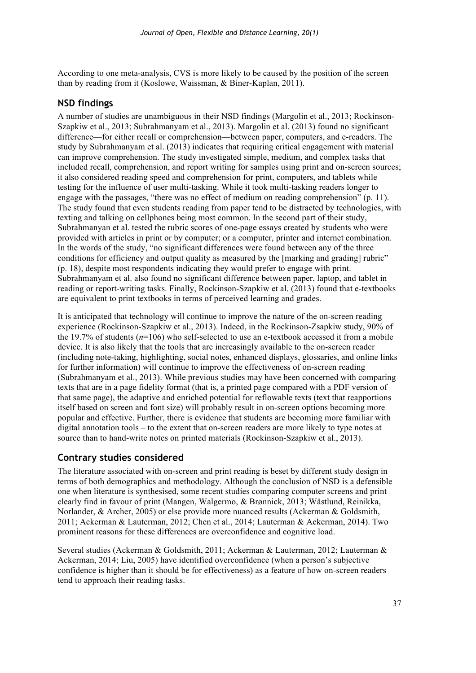According to one meta-analysis, CVS is more likely to be caused by the position of the screen than by reading from it (Koslowe, Waissman, & Biner-Kaplan, 2011).

#### **NSD findings**

A number of studies are unambiguous in their NSD findings (Margolin et al., 2013; Rockinson-Szapkiw et al., 2013; Subrahmanyam et al., 2013). Margolin et al. (2013) found no significant difference—for either recall or comprehension—between paper, computers, and e-readers. The study by Subrahmanyam et al. (2013) indicates that requiring critical engagement with material can improve comprehension. The study investigated simple, medium, and complex tasks that included recall, comprehension, and report writing for samples using print and on-screen sources; it also considered reading speed and comprehension for print, computers, and tablets while testing for the influence of user multi-tasking. While it took multi-tasking readers longer to engage with the passages, "there was no effect of medium on reading comprehension" (p. 11). The study found that even students reading from paper tend to be distracted by technologies, with texting and talking on cellphones being most common. In the second part of their study, Subrahmanyan et al. tested the rubric scores of one-page essays created by students who were provided with articles in print or by computer; or a computer, printer and internet combination. In the words of the study, "no significant differences were found between any of the three conditions for efficiency and output quality as measured by the [marking and grading] rubric" (p. 18), despite most respondents indicating they would prefer to engage with print. Subrahmanyam et al. also found no significant difference between paper, laptop, and tablet in reading or report-writing tasks. Finally, Rockinson-Szapkiw et al. (2013) found that e-textbooks are equivalent to print textbooks in terms of perceived learning and grades.

It is anticipated that technology will continue to improve the nature of the on-screen reading experience (Rockinson-Szapkiw et al., 2013). Indeed, in the Rockinson-Zsapkiw study, 90% of the 19.7% of students (*n*=106) who self-selected to use an e-textbook accessed it from a mobile device. It is also likely that the tools that are increasingly available to the on-screen reader (including note-taking, highlighting, social notes, enhanced displays, glossaries, and online links for further information) will continue to improve the effectiveness of on-screen reading (Subrahmanyam et al., 2013). While previous studies may have been concerned with comparing texts that are in a page fidelity format (that is, a printed page compared with a PDF version of that same page), the adaptive and enriched potential for reflowable texts (text that reapportions itself based on screen and font size) will probably result in on-screen options becoming more popular and effective. Further, there is evidence that students are becoming more familiar with digital annotation tools – to the extent that on-screen readers are more likely to type notes at source than to hand-write notes on printed materials (Rockinson-Szapkiw et al., 2013).

### **Contrary studies considered**

The literature associated with on-screen and print reading is beset by different study design in terms of both demographics and methodology. Although the conclusion of NSD is a defensible one when literature is synthesised, some recent studies comparing computer screens and print clearly find in favour of print (Mangen, Walgermo, & Brønnick, 2013; Wästlund, Reinikka, Norlander, & Archer, 2005) or else provide more nuanced results (Ackerman & Goldsmith, 2011; Ackerman & Lauterman, 2012; Chen et al., 2014; Lauterman & Ackerman, 2014). Two prominent reasons for these differences are overconfidence and cognitive load.

Several studies (Ackerman & Goldsmith, 2011; Ackerman & Lauterman, 2012; Lauterman & Ackerman, 2014; Liu, 2005) have identified overconfidence (when a person's subjective confidence is higher than it should be for effectiveness) as a feature of how on-screen readers tend to approach their reading tasks.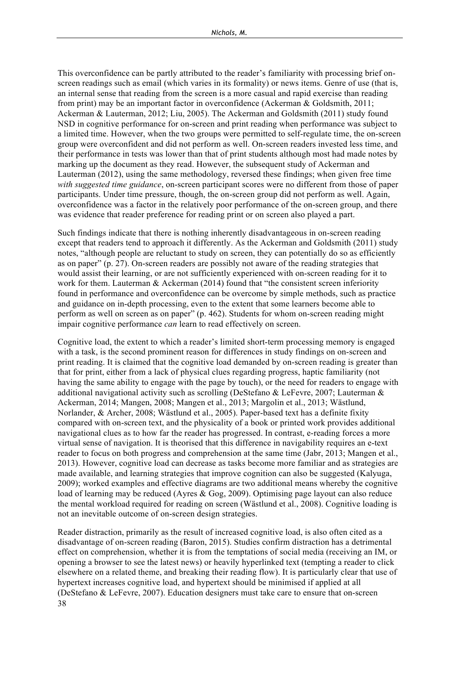This overconfidence can be partly attributed to the reader's familiarity with processing brief onscreen readings such as email (which varies in its formality) or news items. Genre of use (that is, an internal sense that reading from the screen is a more casual and rapid exercise than reading from print) may be an important factor in overconfidence (Ackerman & Goldsmith, 2011; Ackerman & Lauterman, 2012; Liu, 2005). The Ackerman and Goldsmith (2011) study found NSD in cognitive performance for on-screen and print reading when performance was subject to a limited time. However, when the two groups were permitted to self-regulate time, the on-screen group were overconfident and did not perform as well. On-screen readers invested less time, and their performance in tests was lower than that of print students although most had made notes by marking up the document as they read. However, the subsequent study of Ackerman and Lauterman (2012), using the same methodology, reversed these findings; when given free time *with suggested time guidance*, on-screen participant scores were no different from those of paper participants. Under time pressure, though, the on-screen group did not perform as well. Again, overconfidence was a factor in the relatively poor performance of the on-screen group, and there was evidence that reader preference for reading print or on screen also played a part.

Such findings indicate that there is nothing inherently disadvantageous in on-screen reading except that readers tend to approach it differently. As the Ackerman and Goldsmith (2011) study notes, "although people are reluctant to study on screen, they can potentially do so as efficiently as on paper" (p. 27). On-screen readers are possibly not aware of the reading strategies that would assist their learning, or are not sufficiently experienced with on-screen reading for it to work for them. Lauterman & Ackerman (2014) found that "the consistent screen inferiority found in performance and overconfidence can be overcome by simple methods, such as practice and guidance on in-depth processing, even to the extent that some learners become able to perform as well on screen as on paper" (p. 462). Students for whom on-screen reading might impair cognitive performance *can* learn to read effectively on screen.

Cognitive load, the extent to which a reader's limited short-term processing memory is engaged with a task, is the second prominent reason for differences in study findings on on-screen and print reading. It is claimed that the cognitive load demanded by on-screen reading is greater than that for print, either from a lack of physical clues regarding progress, haptic familiarity (not having the same ability to engage with the page by touch), or the need for readers to engage with additional navigational activity such as scrolling (DeStefano & LeFevre, 2007; Lauterman & Ackerman, 2014; Mangen, 2008; Mangen et al., 2013; Margolin et al., 2013; Wästlund, Norlander, & Archer, 2008; Wästlund et al., 2005). Paper-based text has a definite fixity compared with on-screen text, and the physicality of a book or printed work provides additional navigational clues as to how far the reader has progressed. In contrast, e-reading forces a more virtual sense of navigation. It is theorised that this difference in navigability requires an e-text reader to focus on both progress and comprehension at the same time (Jabr, 2013; Mangen et al., 2013). However, cognitive load can decrease as tasks become more familiar and as strategies are made available, and learning strategies that improve cognition can also be suggested (Kalyuga, 2009); worked examples and effective diagrams are two additional means whereby the cognitive load of learning may be reduced (Ayres & Gog, 2009). Optimising page layout can also reduce the mental workload required for reading on screen (Wästlund et al., 2008). Cognitive loading is not an inevitable outcome of on-screen design strategies.

38 Reader distraction, primarily as the result of increased cognitive load, is also often cited as a disadvantage of on-screen reading (Baron, 2015). Studies confirm distraction has a detrimental effect on comprehension, whether it is from the temptations of social media (receiving an IM, or opening a browser to see the latest news) or heavily hyperlinked text (tempting a reader to click elsewhere on a related theme, and breaking their reading flow). It is particularly clear that use of hypertext increases cognitive load, and hypertext should be minimised if applied at all (DeStefano & LeFevre, 2007). Education designers must take care to ensure that on-screen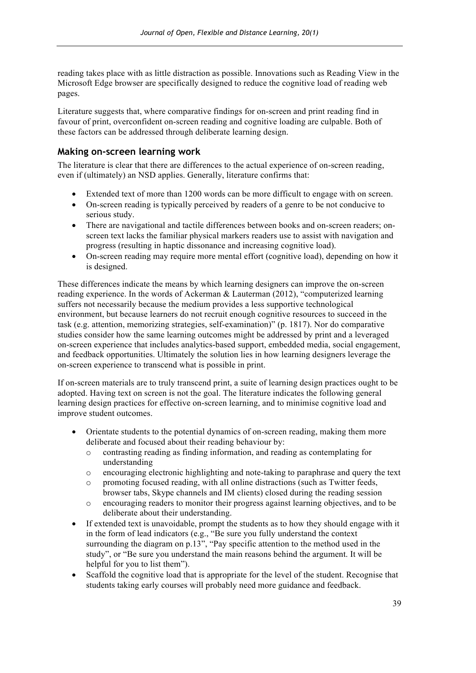reading takes place with as little distraction as possible. Innovations such as Reading View in the Microsoft Edge browser are specifically designed to reduce the cognitive load of reading web pages.

Literature suggests that, where comparative findings for on-screen and print reading find in favour of print, overconfident on-screen reading and cognitive loading are culpable. Both of these factors can be addressed through deliberate learning design.

#### **Making on-screen learning work**

The literature is clear that there are differences to the actual experience of on-screen reading, even if (ultimately) an NSD applies. Generally, literature confirms that:

- Extended text of more than 1200 words can be more difficult to engage with on screen.
- On-screen reading is typically perceived by readers of a genre to be not conducive to serious study.
- There are navigational and tactile differences between books and on-screen readers; onscreen text lacks the familiar physical markers readers use to assist with navigation and progress (resulting in haptic dissonance and increasing cognitive load).
- On-screen reading may require more mental effort (cognitive load), depending on how it is designed.

These differences indicate the means by which learning designers can improve the on-screen reading experience. In the words of Ackerman & Lauterman (2012), "computerized learning suffers not necessarily because the medium provides a less supportive technological environment, but because learners do not recruit enough cognitive resources to succeed in the task (e.g. attention, memorizing strategies, self-examination)" (p. 1817). Nor do comparative studies consider how the same learning outcomes might be addressed by print and a leveraged on-screen experience that includes analytics-based support, embedded media, social engagement, and feedback opportunities. Ultimately the solution lies in how learning designers leverage the on-screen experience to transcend what is possible in print.

If on-screen materials are to truly transcend print, a suite of learning design practices ought to be adopted. Having text on screen is not the goal. The literature indicates the following general learning design practices for effective on-screen learning, and to minimise cognitive load and improve student outcomes.

- Orientate students to the potential dynamics of on-screen reading, making them more deliberate and focused about their reading behaviour by:
	- o contrasting reading as finding information, and reading as contemplating for understanding
	- o encouraging electronic highlighting and note-taking to paraphrase and query the text
	- $\circ$  promoting focused reading, with all online distractions (such as Twitter feeds, browser tabs, Skype channels and IM clients) closed during the reading session
	- o encouraging readers to monitor their progress against learning objectives, and to be deliberate about their understanding.
- If extended text is unavoidable, prompt the students as to how they should engage with it in the form of lead indicators (e.g., "Be sure you fully understand the context surrounding the diagram on p.13", "Pay specific attention to the method used in the study", or "Be sure you understand the main reasons behind the argument. It will be helpful for you to list them").
- Scaffold the cognitive load that is appropriate for the level of the student. Recognise that students taking early courses will probably need more guidance and feedback.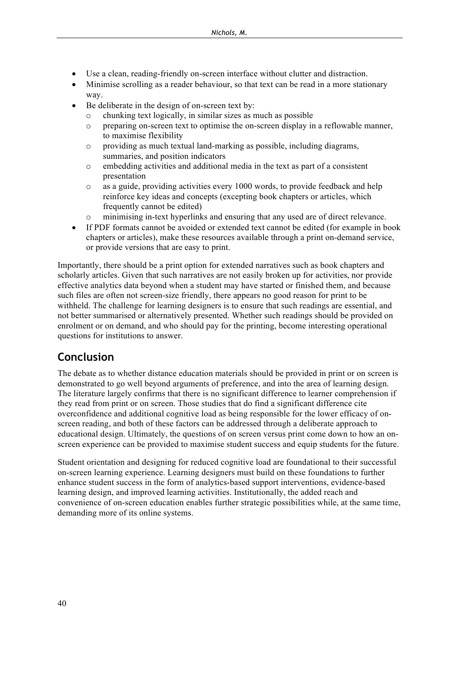- Use a clean, reading-friendly on-screen interface without clutter and distraction.
- Minimise scrolling as a reader behaviour, so that text can be read in a more stationary way.
- Be deliberate in the design of on-screen text by:
	- o chunking text logically, in similar sizes as much as possible
	- o preparing on-screen text to optimise the on-screen display in a reflowable manner, to maximise flexibility
	- o providing as much textual land-marking as possible, including diagrams, summaries, and position indicators
	- o embedding activities and additional media in the text as part of a consistent presentation
	- o as a guide, providing activities every 1000 words, to provide feedback and help reinforce key ideas and concepts (excepting book chapters or articles, which frequently cannot be edited)
	- o minimising in-text hyperlinks and ensuring that any used are of direct relevance.
- If PDF formats cannot be avoided or extended text cannot be edited (for example in book chapters or articles), make these resources available through a print on-demand service, or provide versions that are easy to print.

Importantly, there should be a print option for extended narratives such as book chapters and scholarly articles. Given that such narratives are not easily broken up for activities, nor provide effective analytics data beyond when a student may have started or finished them, and because such files are often not screen-size friendly, there appears no good reason for print to be withheld. The challenge for learning designers is to ensure that such readings are essential, and not better summarised or alternatively presented. Whether such readings should be provided on enrolment or on demand, and who should pay for the printing, become interesting operational questions for institutions to answer.

## **Conclusion**

The debate as to whether distance education materials should be provided in print or on screen is demonstrated to go well beyond arguments of preference, and into the area of learning design. The literature largely confirms that there is no significant difference to learner comprehension if they read from print or on screen. Those studies that do find a significant difference cite overconfidence and additional cognitive load as being responsible for the lower efficacy of onscreen reading, and both of these factors can be addressed through a deliberate approach to educational design. Ultimately, the questions of on screen versus print come down to how an onscreen experience can be provided to maximise student success and equip students for the future.

Student orientation and designing for reduced cognitive load are foundational to their successful on-screen learning experience. Learning designers must build on these foundations to further enhance student success in the form of analytics-based support interventions, evidence-based learning design, and improved learning activities. Institutionally, the added reach and convenience of on-screen education enables further strategic possibilities while, at the same time, demanding more of its online systems.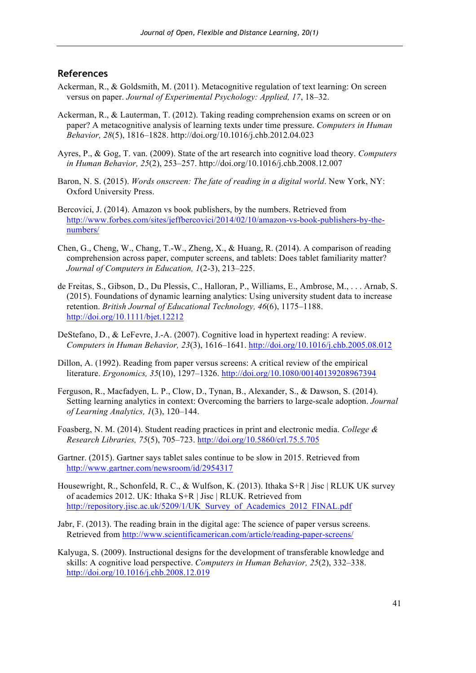#### **References**

- Ackerman, R., & Goldsmith, M. (2011). Metacognitive regulation of text learning: On screen versus on paper. *Journal of Experimental Psychology: Applied, 17*, 18–32.
- Ackerman, R., & Lauterman, T. (2012). Taking reading comprehension exams on screen or on paper? A metacognitive analysis of learning texts under time pressure. *Computers in Human Behavior, 28*(5), 1816–1828. http://doi.org/10.1016/j.chb.2012.04.023
- Ayres, P., & Gog, T. van. (2009). State of the art research into cognitive load theory. *Computers in Human Behavior, 25*(2), 253–257. http://doi.org/10.1016/j.chb.2008.12.007
- Baron, N. S. (2015). *Words onscreen: The fate of reading in a digital world*. New York, NY: Oxford University Press.
- Bercovici, J. (2014). Amazon vs book publishers, by the numbers. Retrieved from http://www.forbes.com/sites/jeffbercovici/2014/02/10/amazon-vs-book-publishers-by-thenumbers/
- Chen, G., Cheng, W., Chang, T.-W., Zheng, X., & Huang, R. (2014). A comparison of reading comprehension across paper, computer screens, and tablets: Does tablet familiarity matter? *Journal of Computers in Education, 1*(2-3), 213–225.
- de Freitas, S., Gibson, D., Du Plessis, C., Halloran, P., Williams, E., Ambrose, M., . . . Arnab, S. (2015). Foundations of dynamic learning analytics: Using university student data to increase retention. *British Journal of Educational Technology, 46*(6), 1175–1188. http://doi.org/10.1111/bjet.12212
- DeStefano, D., & LeFevre, J.-A. (2007). Cognitive load in hypertext reading: A review. *Computers in Human Behavior, 23*(3), 1616–1641. http://doi.org/10.1016/j.chb.2005.08.012
- Dillon, A. (1992). Reading from paper versus screens: A critical review of the empirical literature. *Ergonomics, 35*(10), 1297–1326. http://doi.org/10.1080/00140139208967394
- Ferguson, R., Macfadyen, L. P., Clow, D., Tynan, B., Alexander, S., & Dawson, S. (2014). Setting learning analytics in context: Overcoming the barriers to large-scale adoption. *Journal of Learning Analytics, 1*(3), 120–144.
- Foasberg, N. M. (2014). Student reading practices in print and electronic media. *College & Research Libraries, 75*(5), 705–723. http://doi.org/10.5860/crl.75.5.705
- Gartner. (2015). Gartner says tablet sales continue to be slow in 2015. Retrieved from http://www.gartner.com/newsroom/id/2954317
- Housewright, R., Schonfeld, R. C., & Wulfson, K. (2013). Ithaka S+R | Jisc | RLUK UK survey of academics 2012. UK: Ithaka S+R | Jisc | RLUK. Retrieved from http://repository.jisc.ac.uk/5209/1/UK\_Survey\_of\_Academics\_2012\_FINAL.pdf
- Jabr, F. (2013). The reading brain in the digital age: The science of paper versus screens. Retrieved from http://www.scientificamerican.com/article/reading-paper-screens/
- Kalyuga, S. (2009). Instructional designs for the development of transferable knowledge and skills: A cognitive load perspective. *Computers in Human Behavior, 25*(2), 332–338. http://doi.org/10.1016/j.chb.2008.12.019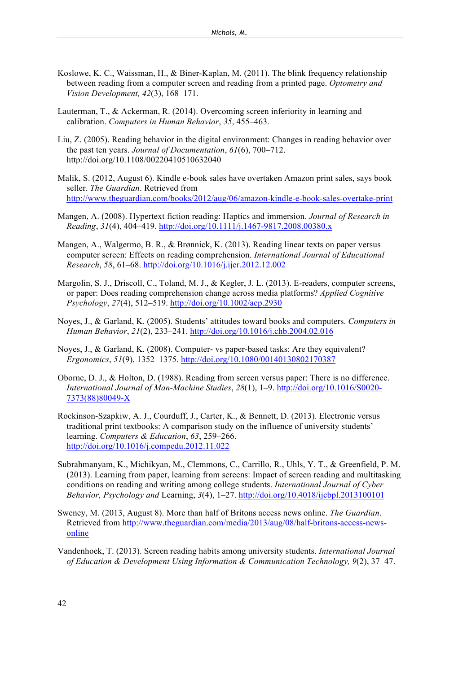- Koslowe, K. C., Waissman, H., & Biner-Kaplan, M. (2011). The blink frequency relationship between reading from a computer screen and reading from a printed page. *Optometry and Vision Development, 42*(3), 168–171.
- Lauterman, T., & Ackerman, R. (2014). Overcoming screen inferiority in learning and calibration. *Computers in Human Behavior*, *35*, 455–463.
- Liu, Z. (2005). Reading behavior in the digital environment: Changes in reading behavior over the past ten years. *Journal of Documentation*, *61*(6), 700–712. http://doi.org/10.1108/00220410510632040
- Malik, S. (2012, August 6). Kindle e-book sales have overtaken Amazon print sales, says book seller. *The Guardian*. Retrieved from http://www.theguardian.com/books/2012/aug/06/amazon-kindle-e-book-sales-overtake-print
- Mangen, A. (2008). Hypertext fiction reading: Haptics and immersion. *Journal of Research in Reading*, *31*(4), 404–419. http://doi.org/10.1111/j.1467-9817.2008.00380.x
- Mangen, A., Walgermo, B. R., & Brønnick, K. (2013). Reading linear texts on paper versus computer screen: Effects on reading comprehension. *International Journal of Educational Research*, *58*, 61–68. http://doi.org/10.1016/j.ijer.2012.12.002
- Margolin, S. J., Driscoll, C., Toland, M. J., & Kegler, J. L. (2013). E-readers, computer screens, or paper: Does reading comprehension change across media platforms? *Applied Cognitive Psychology*, *27*(4), 512–519. http://doi.org/10.1002/acp.2930
- Noyes, J., & Garland, K. (2005). Students' attitudes toward books and computers. *Computers in Human Behavior*, *21*(2), 233–241. http://doi.org/10.1016/j.chb.2004.02.016
- Noyes, J., & Garland, K. (2008). Computer- vs paper-based tasks: Are they equivalent? *Ergonomics*, *51*(9), 1352–1375. http://doi.org/10.1080/00140130802170387
- Oborne, D. J., & Holton, D. (1988). Reading from screen versus paper: There is no difference. *International Journal of Man-Machine Studies*, *28*(1), 1–9. http://doi.org/10.1016/S0020- 7373(88)80049-X
- Rockinson-Szapkiw, A. J., Courduff, J., Carter, K., & Bennett, D. (2013). Electronic versus traditional print textbooks: A comparison study on the influence of university students' learning. *Computers & Education*, *63*, 259–266. http://doi.org/10.1016/j.compedu.2012.11.022
- Subrahmanyam, K., Michikyan, M., Clemmons, C., Carrillo, R., Uhls, Y. T., & Greenfield, P. M. (2013). Learning from paper, learning from screens: Impact of screen reading and multitasking conditions on reading and writing among college students. *International Journal of Cyber Behavior, Psychology and* Learning, *3*(4), 1–27. http://doi.org/10.4018/ijcbpl.2013100101
- Sweney, M. (2013, August 8). More than half of Britons access news online. *The Guardian*. Retrieved from http://www.theguardian.com/media/2013/aug/08/half-britons-access-newsonline
- Vandenhoek, T. (2013). Screen reading habits among university students. *International Journal of Education & Development Using Information & Communication Technology, 9*(2), 37–47.